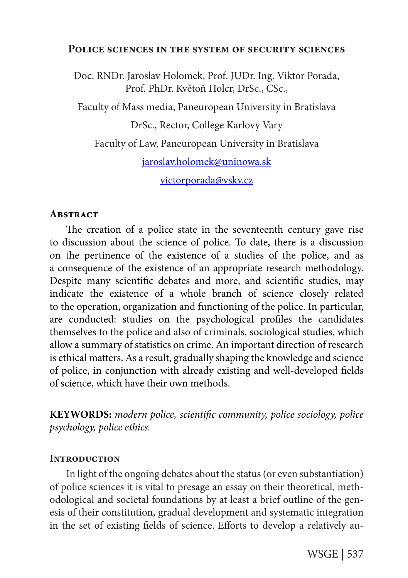#### **Police sciences in the system of security sciences**

Doc. RNDr. Jaroslav Holomek, Prof. JUDr. Ing. Viktor Porada, Prof. PhDr. Květoň Holcr, DrSc., CSc.,

Faculty of Mass media, Paneuropean University in Bratislava

DrSc., Rector, College Karlovy Vary

Faculty of Law, Paneuropean University in Bratislava

jaroslav.holomek@uninowa.sk

victorporada@vskv.cz

#### **Abstract**

The creation of a police state in the seventeenth century gave rise to discussion about the science of police. To date, there is a discussion on the pertinence of the existence of a studies of the police, and as a consequence of the existence of an appropriate research methodology. Despite many scientific debates and more, and scientific studies, may indicate the existence of a whole branch of science closely related to the operation, organization and functioning of the police. In particular, are conducted: studies on the psychological profiles the candidates themselves to the police and also of criminals, sociological studies, which allow a summary of statistics on crime. An important direction of research is ethical matters. As a result, gradually shaping the knowledge and science of police, in conjunction with already existing and well-developed fields of science, which have their own methods.

**KEYWORDS:** *modern police, scientific community, police sociology, police psychology, police ethics.*

# **INTRODUCTION**

In light of the ongoing debates about the status (or even substantiation) of police sciences it is vital to presage an essay on their theoretical, methodological and societal foundations by at least a brief outline of the genesis of their constitution, gradual development and systematic integration in the set of existing fields of science. Efforts to develop a relatively au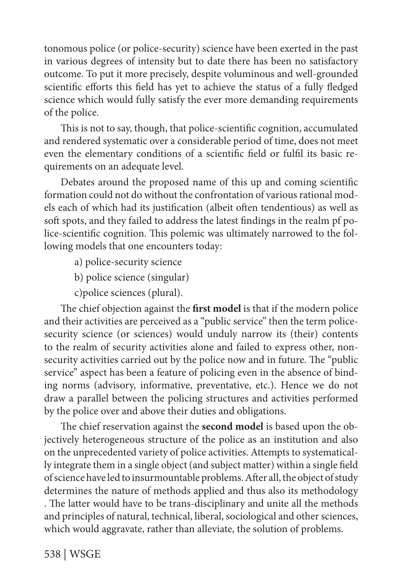tonomous police (or police-security) science have been exerted in the past in various degrees of intensity but to date there has been no satisfactory outcome. To put it more precisely, despite voluminous and well-grounded scientific efforts this field has yet to achieve the status of a fully fledged science which would fully satisfy the ever more demanding requirements of the police.

This is not to say, though, that police-scientific cognition, accumulated and rendered systematic over a considerable period of time, does not meet even the elementary conditions of a scientific field or fulfil its basic requirements on an adequate level.

Debates around the proposed name of this up and coming scientific formation could not do without the confrontation of various rational models each of which had its justification (albeit often tendentious) as well as soft spots, and they failed to address the latest findings in the realm pf police-scientific cognition. This polemic was ultimately narrowed to the following models that one encounters today:

- a) police-security science
- b) police science (singular)
- c)police sciences (plural).

The chief objection against the **first model** is that if the modern police and their activities are perceived as a "public service" then the term policesecurity science (or sciences) would unduly narrow its (their) contents to the realm of security activities alone and failed to express other, nonsecurity activities carried out by the police now and in future. The "public service" aspect has been a feature of policing even in the absence of binding norms (advisory, informative, preventative, etc.). Hence we do not draw a parallel between the policing structures and activities performed by the police over and above their duties and obligations.

The chief reservation against the **second model** is based upon the objectively heterogeneous structure of the police as an institution and also on the unprecedented variety of police activities. Attempts to systematically integrate them in a single object (and subject matter) within a single field of science have led to insurmountable problems. After all, the object of study determines the nature of methods applied and thus also its methodology . The latter would have to be trans-disciplinary and unite all the methods and principles of natural, technical, liberal, sociological and other sciences, which would aggravate, rather than alleviate, the solution of problems.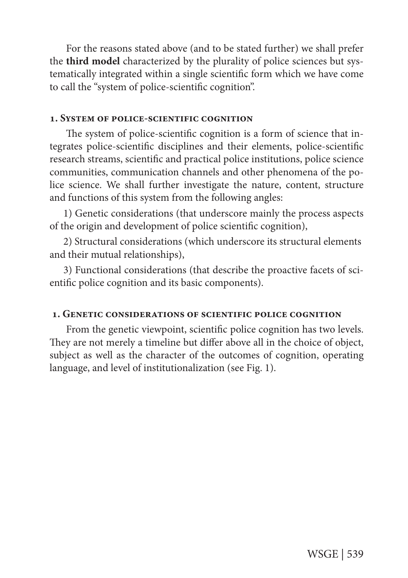For the reasons stated above (and to be stated further) we shall prefer the **third model** characterized by the plurality of police sciences but systematically integrated within a single scientific form which we have come to call the "system of police-scientific cognition".

### **1. System of police-scientific cognition**

The system of police-scientific cognition is a form of science that integrates police-scientific disciplines and their elements, police-scientific research streams, scientific and practical police institutions, police science communities, communication channels and other phenomena of the police science. We shall further investigate the nature, content, structure and functions of this system from the following angles:

1) Genetic considerations (that underscore mainly the process aspects of the origin and development of police scientific cognition),

2) Structural considerations (which underscore its structural elements and their mutual relationships),

3) Functional considerations (that describe the proactive facets of scientific police cognition and its basic components).

#### **1. Genetic considerations of scientific police cognition**

From the genetic viewpoint, scientific police cognition has two levels. They are not merely a timeline but differ above all in the choice of object, subject as well as the character of the outcomes of cognition, operating language, and level of institutionalization (see Fig. 1).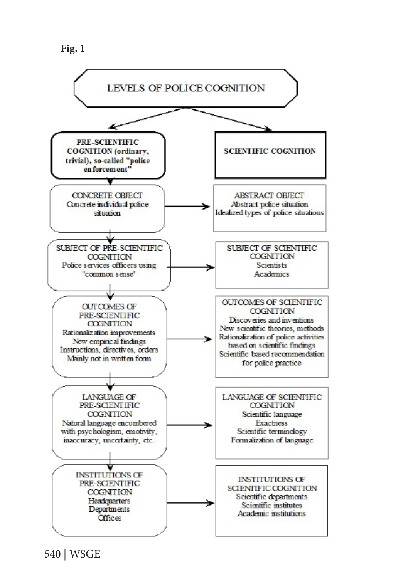**Fig. 1**

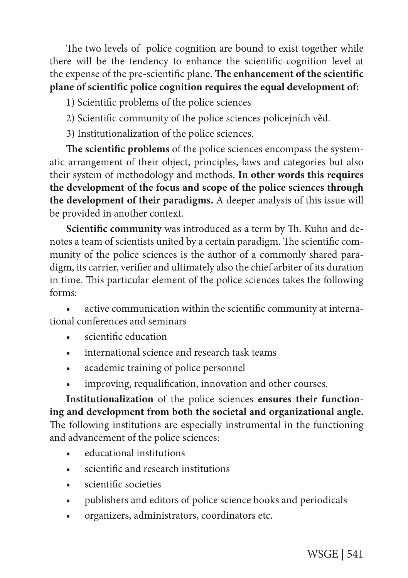The two levels of police cognition are bound to exist together while there will be the tendency to enhance the scientific-cognition level at the expense of the pre-scientific plane. **The enhancement of the scientific plane of scientific police cognition requires the equal development of:**

- 1) Scientific problems of the police sciences
- 2) Scientific community of the police sciences policejních věd.
- 3) Institutionalization of the police sciences.

**The scientific problems** of the police sciences encompass the systematic arrangement of their object, principles, laws and categories but also their system of methodology and methods. **In other words this requires the development of the focus and scope of the police sciences through the development of their paradigms.** A deeper analysis of this issue will be provided in another context.

**Scientific community** was introduced as a term by Th. Kuhn and denotes a team of scientists united by a certain paradigm. The scientific community of the police sciences is the author of a commonly shared paradigm, its carrier, verifier and ultimately also the chief arbiter of its duration in time. This particular element of the police sciences takes the following forms:

active communication within the scientific community at international conferences and seminars

- scientific education
- international science and research task teams
- academic training of police personnel
- improving, requalification, innovation and other courses.

**Institutionalization** of the police sciences **ensures their functioning and development from both the societal and organizational angle.**  The following institutions are especially instrumental in the functioning and advancement of the police sciences:

- educational institutions
- scientific and research institutions
- scientific societies
- publishers and editors of police science books and periodicals
- organizers, administrators, coordinators etc.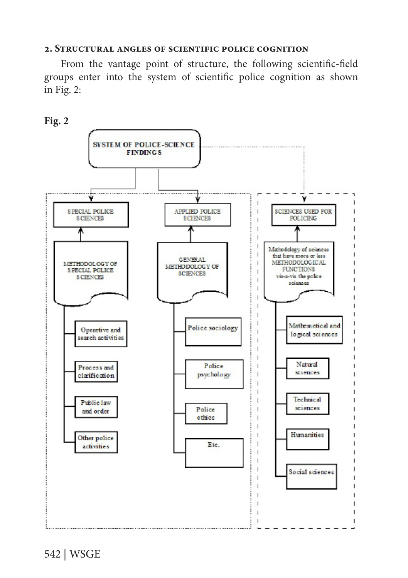#### **2. Structural angles of scientific police cognition**

From the vantage point of structure, the following scientific-field groups enter into the system of scientific police cognition as shown in Fig. 2:

**Fig. 2**

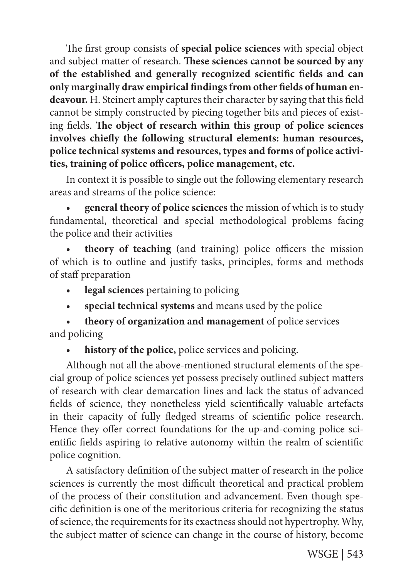The first group consists of **special police sciences** with special object and subject matter of research. **These sciences cannot be sourced by any of the established and generally recognized scientific fields and can only marginally draw empirical findings from other fields of human endeavour.** H. Steinert amply captures their character by saying that this field cannot be simply constructed by piecing together bits and pieces of existing fields. **The object of research within this group of police sciences involves chiefly the following structural elements: human resources, police technical systems and resources, types and forms of police activities, training of police officers, police management, etc.**

In context it is possible to single out the following elementary research areas and streams of the police science:

general theory of police sciences the mission of which is to study fundamental, theoretical and special methodological problems facing the police and their activities

theory of teaching (and training) police officers the mission of which is to outline and justify tasks, principles, forms and methods of staff preparation

- **legal sciences** pertaining to policing
- special technical systems and means used by the police

**theory of organization and management** of police services and policing

history of the police, police services and policing.

Although not all the above-mentioned structural elements of the special group of police sciences yet possess precisely outlined subject matters of research with clear demarcation lines and lack the status of advanced fields of science, they nonetheless yield scientifically valuable artefacts in their capacity of fully fledged streams of scientific police research. Hence they offer correct foundations for the up-and-coming police scientific fields aspiring to relative autonomy within the realm of scientific police cognition.

A satisfactory definition of the subject matter of research in the police sciences is currently the most difficult theoretical and practical problem of the process of their constitution and advancement. Even though specific definition is one of the meritorious criteria for recognizing the status of science, the requirements for its exactness should not hypertrophy. Why, the subject matter of science can change in the course of history, become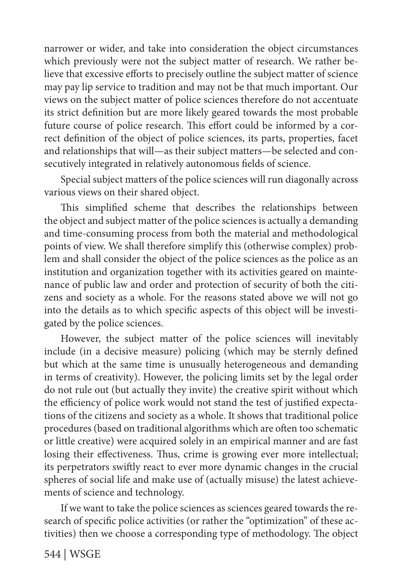narrower or wider, and take into consideration the object circumstances which previously were not the subject matter of research. We rather believe that excessive efforts to precisely outline the subject matter of science may pay lip service to tradition and may not be that much important. Our views on the subject matter of police sciences therefore do not accentuate its strict definition but are more likely geared towards the most probable future course of police research. This effort could be informed by a correct definition of the object of police sciences, its parts, properties, facet and relationships that will—as their subject matters—be selected and consecutively integrated in relatively autonomous fields of science.

Special subject matters of the police sciences will run diagonally across various views on their shared object.

This simplified scheme that describes the relationships between the object and subject matter of the police sciences is actually a demanding and time-consuming process from both the material and methodological points of view. We shall therefore simplify this (otherwise complex) problem and shall consider the object of the police sciences as the police as an institution and organization together with its activities geared on maintenance of public law and order and protection of security of both the citizens and society as a whole. For the reasons stated above we will not go into the details as to which specific aspects of this object will be investigated by the police sciences.

However, the subject matter of the police sciences will inevitably include (in a decisive measure) policing (which may be sternly defined but which at the same time is unusually heterogeneous and demanding in terms of creativity). However, the policing limits set by the legal order do not rule out (but actually they invite) the creative spirit without which the efficiency of police work would not stand the test of justified expectations of the citizens and society as a whole. It shows that traditional police procedures (based on traditional algorithms which are often too schematic or little creative) were acquired solely in an empirical manner and are fast losing their effectiveness. Thus, crime is growing ever more intellectual; its perpetrators swiftly react to ever more dynamic changes in the crucial spheres of social life and make use of (actually misuse) the latest achievements of science and technology.

If we want to take the police sciences as sciences geared towards the research of specific police activities (or rather the "optimization" of these activities) then we choose a corresponding type of methodology. The object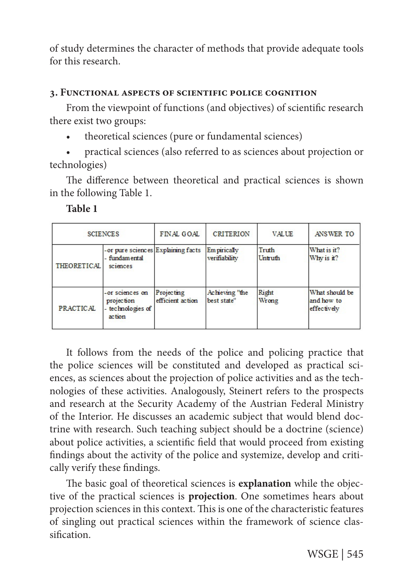of study determines the character of methods that provide adequate tools for this research.

# **3. Functional aspects of scientific police cognition**

From the viewpoint of functions (and objectives) of scientific research there exist two groups:

- theoretical sciences (pure or fundamental sciences)
- practical sciences (also referred to as sciences about projection or technologies)

The difference between theoretical and practical sciences is shown in the following Table 1.

| . .<br>. .<br>۰.<br>۰.<br>۰, |  |
|------------------------------|--|
|------------------------------|--|

| <b>SCIENCES</b>    |                                                                  | FINAL GOAL                     | <b>CRITERION</b>              | <b>VALUE</b>     | ANSWER TO                                   |
|--------------------|------------------------------------------------------------------|--------------------------------|-------------------------------|------------------|---------------------------------------------|
| <b>THEORETICAL</b> | - or pure sciences Explaining facts<br>- fundamental<br>sciences |                                | Em pirically<br>verifiability | Truth<br>Untruth | What is it?<br>Why is it?                   |
| <b>PRACTICAL</b>   | -or sciences on<br>projection<br>- technologies of<br>action     | Projecting<br>efficient action | Achieving "the<br>best state" | Right<br>Wrong   | What should be<br>and how to<br>effectively |

It follows from the needs of the police and policing practice that the police sciences will be constituted and developed as practical sciences, as sciences about the projection of police activities and as the technologies of these activities. Analogously, Steinert refers to the prospects and research at the Security Academy of the Austrian Federal Ministry of the Interior. He discusses an academic subject that would blend doctrine with research. Such teaching subject should be a doctrine (science) about police activities, a scientific field that would proceed from existing findings about the activity of the police and systemize, develop and critically verify these findings.

The basic goal of theoretical sciences is **explanation** while the objective of the practical sciences is **projection**. One sometimes hears about projection sciences in this context. This is one of the characteristic features of singling out practical sciences within the framework of science classification.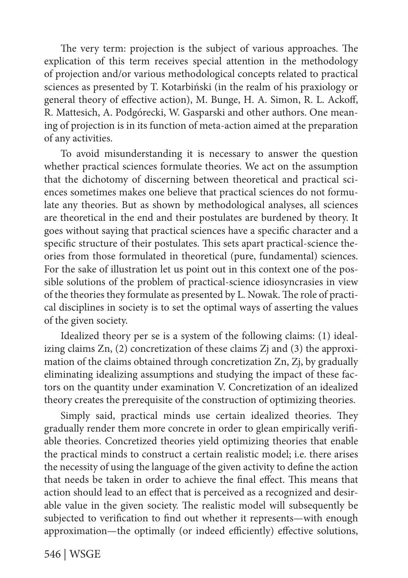The very term: projection is the subject of various approaches. The explication of this term receives special attention in the methodology of projection and/or various methodological concepts related to practical sciences as presented by T. Kotarbiński (in the realm of his praxiology or general theory of effective action), M. Bunge, H. A. Simon, R. L. Ackoff, R. Mattesich, A. Podgórecki, W. Gasparski and other authors. One meaning of projection is in its function of meta-action aimed at the preparation of any activities.

To avoid misunderstanding it is necessary to answer the question whether practical sciences formulate theories. We act on the assumption that the dichotomy of discerning between theoretical and practical sciences sometimes makes one believe that practical sciences do not formulate any theories. But as shown by methodological analyses, all sciences are theoretical in the end and their postulates are burdened by theory. It goes without saying that practical sciences have a specific character and a specific structure of their postulates. This sets apart practical-science theories from those formulated in theoretical (pure, fundamental) sciences. For the sake of illustration let us point out in this context one of the possible solutions of the problem of practical-science idiosyncrasies in view of the theories they formulate as presented by L. Nowak. The role of practical disciplines in society is to set the optimal ways of asserting the values of the given society.

Idealized theory per se is a system of the following claims: (1) idealizing claims Zn, (2) concretization of these claims Zj and (3) the approximation of the claims obtained through concretization Zn, Zj, by gradually eliminating idealizing assumptions and studying the impact of these factors on the quantity under examination V. Concretization of an idealized theory creates the prerequisite of the construction of optimizing theories.

Simply said, practical minds use certain idealized theories. They gradually render them more concrete in order to glean empirically verifiable theories. Concretized theories yield optimizing theories that enable the practical minds to construct a certain realistic model; i.e. there arises the necessity of using the language of the given activity to define the action that needs be taken in order to achieve the final effect. This means that action should lead to an effect that is perceived as a recognized and desirable value in the given society. The realistic model will subsequently be subjected to verification to find out whether it represents—with enough approximation—the optimally (or indeed efficiently) effective solutions,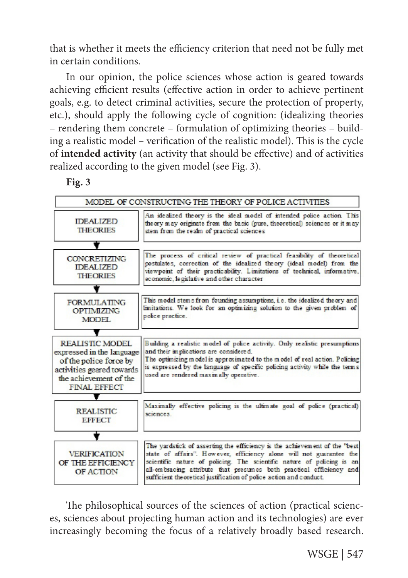that is whether it meets the efficiency criterion that need not be fully met in certain conditions.

In our opinion, the police sciences whose action is geared towards achieving efficient results (effective action in order to achieve pertinent goals, e.g. to detect criminal activities, secure the protection of property, etc.), should apply the following cycle of cognition: (idealizing theories – rendering them concrete – formulation of optimizing theories – building a realistic model – verification of the realistic model). This is the cycle of **intended activity** (an activity that should be effective) and of activities realized according to the given model (see Fig. 3).

# **Fig. 3**



The philosophical sources of the sciences of action (practical sciences, sciences about projecting human action and its technologies) are ever increasingly becoming the focus of a relatively broadly based research.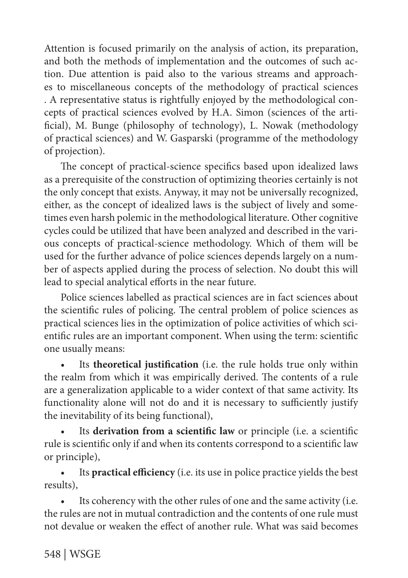Attention is focused primarily on the analysis of action, its preparation, and both the methods of implementation and the outcomes of such action. Due attention is paid also to the various streams and approaches to miscellaneous concepts of the methodology of practical sciences . A representative status is rightfully enjoyed by the methodological concepts of practical sciences evolved by H.A. Simon (sciences of the artificial), M. Bunge (philosophy of technology), L. Nowak (methodology of practical sciences) and W. Gasparski (programme of the methodology of projection).

The concept of practical-science specifics based upon idealized laws as a prerequisite of the construction of optimizing theories certainly is not the only concept that exists. Anyway, it may not be universally recognized, either, as the concept of idealized laws is the subject of lively and sometimes even harsh polemic in the methodological literature. Other cognitive cycles could be utilized that have been analyzed and described in the various concepts of practical-science methodology. Which of them will be used for the further advance of police sciences depends largely on a number of aspects applied during the process of selection. No doubt this will lead to special analytical efforts in the near future.

Police sciences labelled as practical sciences are in fact sciences about the scientific rules of policing. The central problem of police sciences as practical sciences lies in the optimization of police activities of which scientific rules are an important component. When using the term: scientific one usually means:

• Its **theoretical justification** (i.e. the rule holds true only within the realm from which it was empirically derived. The contents of a rule are a generalization applicable to a wider context of that same activity. Its functionality alone will not do and it is necessary to sufficiently justify the inevitability of its being functional),

Its derivation from a scientific law or principle (i.e. a scientific rule is scientific only if and when its contents correspond to a scientific law or principle),

• Its **practical efficiency** (i.e. its use in police practice yields the best results),

• Its coherency with the other rules of one and the same activity (i.e. the rules are not in mutual contradiction and the contents of one rule must not devalue or weaken the effect of another rule. What was said becomes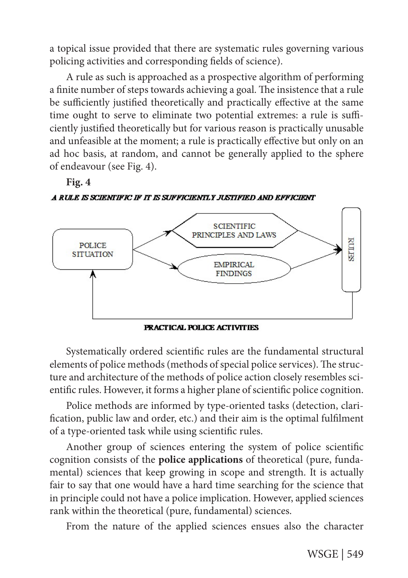a topical issue provided that there are systematic rules governing various policing activities and corresponding fields of science).

A rule as such is approached as a prospective algorithm of performing a finite number of steps towards achieving a goal. The insistence that a rule be sufficiently justified theoretically and practically effective at the same time ought to serve to eliminate two potential extremes: a rule is sufficiently justified theoretically but for various reason is practically unusable and unfeasible at the moment; a rule is practically effective but only on an ad hoc basis, at random, and cannot be generally applied to the sphere of endeavour (see Fig. 4).



A RULE IS SCIENTIFIC IF IT IS SUFFICIENTLY JUSTIFIED AND EFFICIENT



PRACTICAL POLICE ACTIVITIES

Systematically ordered scientific rules are the fundamental structural elements of police methods (methods of special police services). The structure and architecture of the methods of police action closely resembles scientific rules. However, it forms a higher plane of scientific police cognition.

Police methods are informed by type-oriented tasks (detection, clarification, public law and order, etc.) and their aim is the optimal fulfilment of a type-oriented task while using scientific rules.

Another group of sciences entering the system of police scientific cognition consists of the **police applications** of theoretical (pure, fundamental) sciences that keep growing in scope and strength. It is actually fair to say that one would have a hard time searching for the science that in principle could not have a police implication. However, applied sciences rank within the theoretical (pure, fundamental) sciences.

From the nature of the applied sciences ensues also the character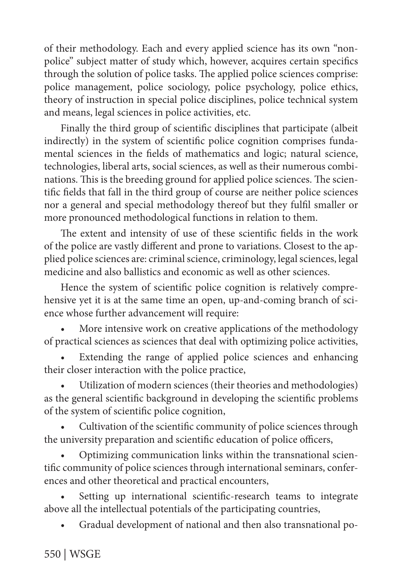of their methodology. Each and every applied science has its own "nonpolice" subject matter of study which, however, acquires certain specifics through the solution of police tasks. The applied police sciences comprise: police management, police sociology, police psychology, police ethics, theory of instruction in special police disciplines, police technical system and means, legal sciences in police activities, etc.

Finally the third group of scientific disciplines that participate (albeit indirectly) in the system of scientific police cognition comprises fundamental sciences in the fields of mathematics and logic; natural science, technologies, liberal arts, social sciences, as well as their numerous combinations. This is the breeding ground for applied police sciences. The scientific fields that fall in the third group of course are neither police sciences nor a general and special methodology thereof but they fulfil smaller or more pronounced methodological functions in relation to them.

The extent and intensity of use of these scientific fields in the work of the police are vastly different and prone to variations. Closest to the applied police sciences are: criminal science, criminology, legal sciences, legal medicine and also ballistics and economic as well as other sciences.

Hence the system of scientific police cognition is relatively comprehensive yet it is at the same time an open, up-and-coming branch of science whose further advancement will require:

More intensive work on creative applications of the methodology of practical sciences as sciences that deal with optimizing police activities,

Extending the range of applied police sciences and enhancing their closer interaction with the police practice,

• Utilization of modern sciences (their theories and methodologies) as the general scientific background in developing the scientific problems of the system of scientific police cognition,

• Cultivation of the scientific community of police sciences through the university preparation and scientific education of police officers,

• Optimizing communication links within the transnational scientific community of police sciences through international seminars, conferences and other theoretical and practical encounters,

Setting up international scientific-research teams to integrate above all the intellectual potentials of the participating countries,

• Gradual development of national and then also transnational po-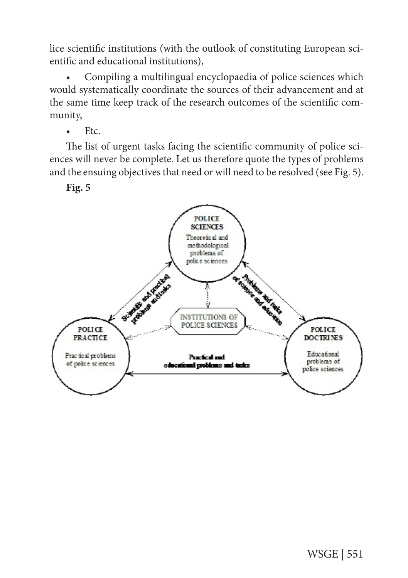lice scientific institutions (with the outlook of constituting European scientific and educational institutions),

• Compiling a multilingual encyclopaedia of police sciences which would systematically coordinate the sources of their advancement and at the same time keep track of the research outcomes of the scientific community,

 $\bullet$  Etc.

The list of urgent tasks facing the scientific community of police sciences will never be complete. Let us therefore quote the types of problems and the ensuing objectives that need or will need to be resolved (see Fig. 5).

**Fig. 5**